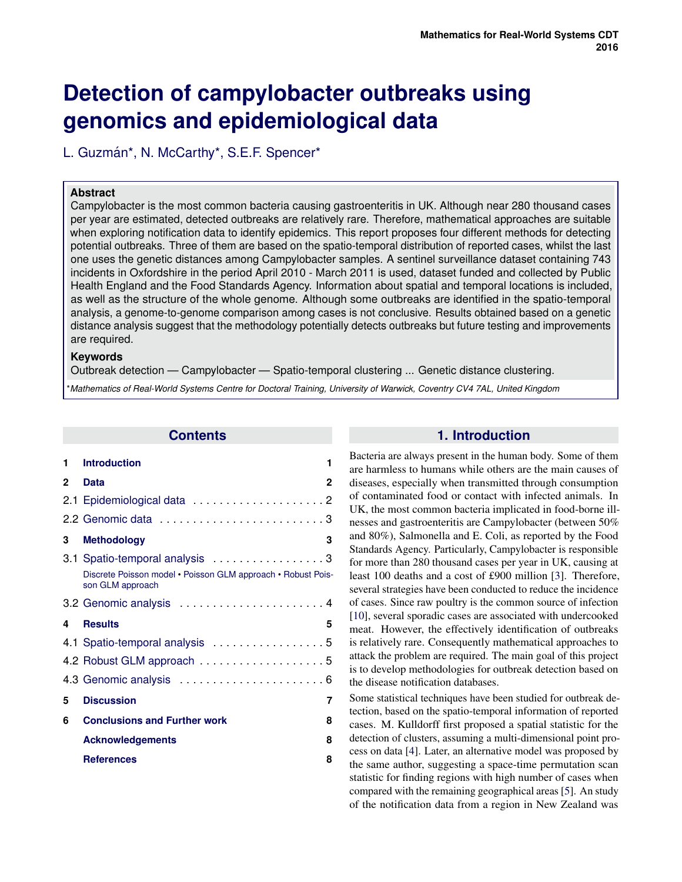# **Detection of campylobacter outbreaks using genomics and epidemiological data**

L. Guzmán\*, N. McCarthy\*, S.E.F. Spencer\*

# **Abstract**

Campylobacter is the most common bacteria causing gastroenteritis in UK. Although near 280 thousand cases per year are estimated, detected outbreaks are relatively rare. Therefore, mathematical approaches are suitable when exploring notification data to identify epidemics. This report proposes four different methods for detecting potential outbreaks. Three of them are based on the spatio-temporal distribution of reported cases, whilst the last one uses the genetic distances among Campylobacter samples. A sentinel surveillance dataset containing 743 incidents in Oxfordshire in the period April 2010 - March 2011 is used, dataset funded and collected by Public Health England and the Food Standards Agency. Information about spatial and temporal locations is included, as well as the structure of the whole genome. Although some outbreaks are identified in the spatio-temporal analysis, a genome-to-genome comparison among cases is not conclusive. Results obtained based on a genetic distance analysis suggest that the methodology potentially detects outbreaks but future testing and improvements are required.

## **Keywords**

Outbreak detection — Campylobacter — Spatio-temporal clustering ... Genetic distance clustering.

\**Mathematics of Real-World Systems Centre for Doctoral Training, University of Warwick, Coventry CV4 7AL, United Kingdom*

# **Contents**

| 1 | <b>Introduction</b>                                                              | 1 |
|---|----------------------------------------------------------------------------------|---|
| 2 | <b>Data</b>                                                                      | 2 |
|   |                                                                                  |   |
|   |                                                                                  |   |
| 3 | <b>Methodology</b>                                                               | 3 |
|   | 3.1 Spatio-temporal analysis 3                                                   |   |
|   | Discrete Poisson model • Poisson GLM approach • Robust Pois-<br>son GLM approach |   |
|   | 3.2 Genomic analysis  4                                                          |   |
|   |                                                                                  |   |
| 4 | <b>Results</b>                                                                   | 5 |
|   | 4.1 Spatio-temporal analysis 5                                                   |   |
|   | 4.2 Robust GLM approach 5                                                        |   |
|   |                                                                                  |   |
| 5 | <b>Discussion</b>                                                                | 7 |
| 6 | <b>Conclusions and Further work</b>                                              | 8 |
|   | <b>Acknowledgements</b>                                                          | 8 |

# **1. Introduction**

Bacteria are always present in the human body. Some of them are harmless to humans while others are the main causes of diseases, especially when transmitted through consumption of contaminated food or contact with infected animals. In UK, the most common bacteria implicated in food-borne illnesses and gastroenteritis are Campylobacter (between 50% and 80%), Salmonella and E. Coli, as reported by the Food Standards Agency. Particularly, Campylobacter is responsible for more than 280 thousand cases per year in UK, causing at least 100 deaths and a cost of £900 million [\[3\]](#page-7-1). Therefore, several strategies have been conducted to reduce the incidence of cases. Since raw poultry is the common source of infection [\[10\]](#page-7-2), several sporadic cases are associated with undercooked meat. However, the effectively identification of outbreaks is relatively rare. Consequently mathematical approaches to attack the problem are required. The main goal of this project is to develop methodologies for outbreak detection based on the disease notification databases.

<span id="page-0-0"></span>Some statistical techniques have been studied for outbreak detection, based on the spatio-temporal information of reported cases. M. Kulldorff first proposed a spatial statistic for the detection of clusters, assuming a multi-dimensional point process on data [\[4\]](#page-7-3). Later, an alternative model was proposed by the same author, suggesting a space-time permutation scan statistic for finding regions with high number of cases when compared with the remaining geographical areas [\[5\]](#page-7-4). An study of the notification data from a region in New Zealand was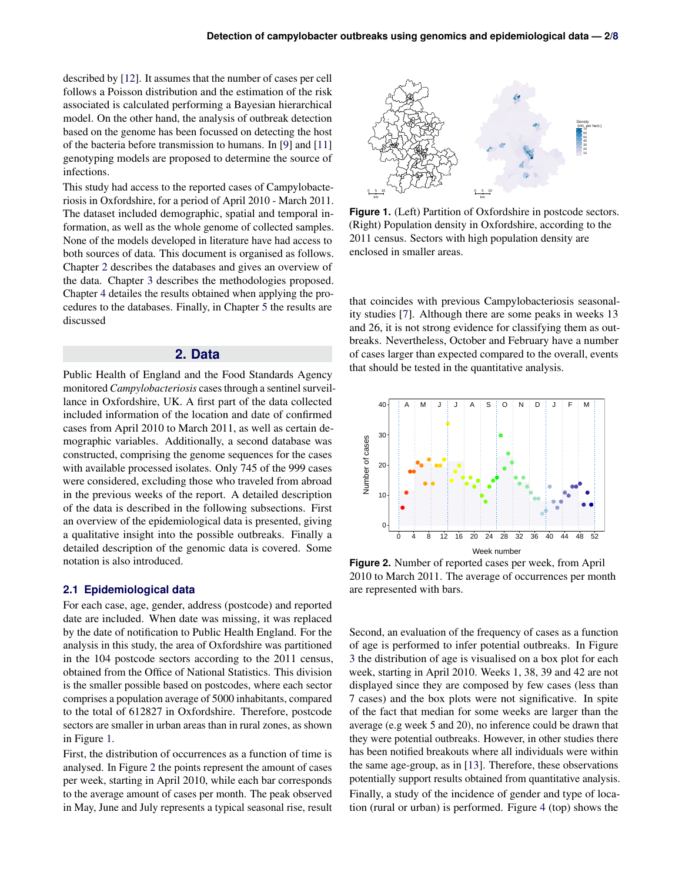described by [\[12\]](#page-7-6). It assumes that the number of cases per cell follows a Poisson distribution and the estimation of the risk associated is calculated performing a Bayesian hierarchical model. On the other hand, the analysis of outbreak detection based on the genome has been focussed on detecting the host of the bacteria before transmission to humans. In [\[9\]](#page-7-7) and [\[11\]](#page-7-8) genotyping models are proposed to determine the source of infections.

This study had access to the reported cases of Campylobacteriosis in Oxfordshire, for a period of April 2010 - March 2011. The dataset included demographic, spatial and temporal information, as well as the whole genome of collected samples. None of the models developed in literature have had access to both sources of data. This document is organised as follows. Chapter [2](#page-1-0) describes the databases and gives an overview of the data. Chapter [3](#page-2-1) describes the methodologies proposed. Chapter [4](#page-4-0) detailes the results obtained when applying the procedures to the databases. Finally, in Chapter [5](#page-6-0) the results are discussed

# **2. Data**

<span id="page-1-0"></span>Public Health of England and the Food Standards Agency monitored *Campylobacteriosis* cases through a sentinel surveillance in Oxfordshire, UK. A first part of the data collected included information of the location and date of confirmed cases from April 2010 to March 2011, as well as certain demographic variables. Additionally, a second database was constructed, comprising the genome sequences for the cases with available processed isolates. Only 745 of the 999 cases were considered, excluding those who traveled from abroad in the previous weeks of the report. A detailed description of the data is described in the following subsections. First an overview of the epidemiological data is presented, giving a qualitative insight into the possible outbreaks. Finally a detailed description of the genomic data is covered. Some notation is also introduced.

## <span id="page-1-1"></span>**2.1 Epidemiological data**

For each case, age, gender, address (postcode) and reported date are included. When date was missing, it was replaced by the date of notification to Public Health England. For the analysis in this study, the area of Oxfordshire was partitioned in the 104 postcode sectors according to the 2011 census, obtained from the Office of National Statistics. This division is the smaller possible based on postcodes, where each sector comprises a population average of 5000 inhabitants, compared to the total of 612827 in Oxfordshire. Therefore, postcode sectors are smaller in urban areas than in rural zones, as shown in Figure [1.](#page-1-2)

First, the distribution of occurrences as a function of time is analysed. In Figure [2](#page-1-3) the points represent the amount of cases per week, starting in April 2010, while each bar corresponds to the average amount of cases per month. The peak observed in May, June and July represents a typical seasonal rise, result

<span id="page-1-2"></span>

**Figure 1.** (Left) Partition of Oxfordshire in postcode sectors. (Right) Population density in Oxfordshire, according to the 2011 census. Sectors with high population density are enclosed in smaller areas.

that coincides with previous Campylobacteriosis seasonality studies [\[7\]](#page-7-9). Although there are some peaks in weeks 13 and 26, it is not strong evidence for classifying them as outbreaks. Nevertheless, October and February have a number of cases larger than expected compared to the overall, events that should be tested in the quantitative analysis.

<span id="page-1-3"></span>

**Figure 2.** Number of reported cases per week, from April 2010 to March 2011. The average of occurrences per month are represented with bars.

Second, an evaluation of the frequency of cases as a function of age is performed to infer potential outbreaks. In Figure [3](#page-2-3) the distribution of age is visualised on a box plot for each week, starting in April 2010. Weeks 1, 38, 39 and 42 are not displayed since they are composed by few cases (less than 7 cases) and the box plots were not significative. In spite of the fact that median for some weeks are larger than the average (e.g week 5 and 20), no inference could be drawn that they were potential outbreaks. However, in other studies there has been notified breakouts where all individuals were within the same age-group, as in [\[13\]](#page-7-10). Therefore, these observations potentially support results obtained from quantitative analysis. Finally, a study of the incidence of gender and type of location (rural or urban) is performed. Figure [4](#page-2-4) (top) shows the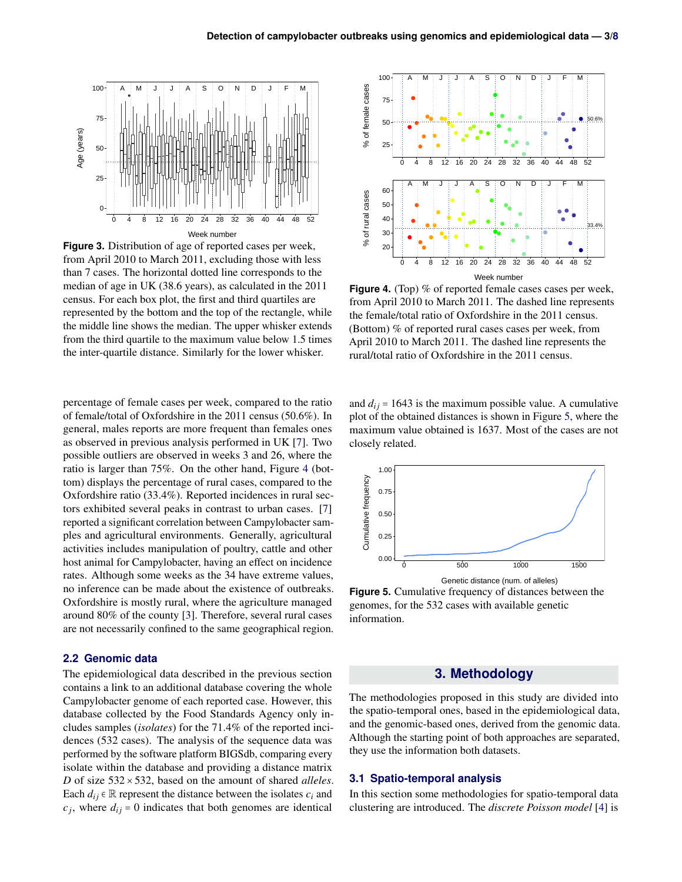<span id="page-2-3"></span>

**Figure 3.** Distribution of age of reported cases per week, from April 2010 to March 2011, excluding those with less than 7 cases. The horizontal dotted line corresponds to the median of age in UK (38.6 years), as calculated in the 2011 census. For each box plot, the first and third quartiles are represented by the bottom and the top of the rectangle, while the middle line shows the median. The upper whisker extends from the third quartile to the maximum value below 1.5 times the inter-quartile distance. Similarly for the lower whisker.

percentage of female cases per week, compared to the ratio of female/total of Oxfordshire in the 2011 census (50.6%). In general, males reports are more frequent than females ones as observed in previous analysis performed in UK [\[7\]](#page-7-9). Two possible outliers are observed in weeks 3 and 26, where the ratio is larger than 75%. On the other hand, Figure [4](#page-2-4) (bottom) displays the percentage of rural cases, compared to the Oxfordshire ratio (33.4%). Reported incidences in rural sectors exhibited several peaks in contrast to urban cases. [\[7\]](#page-7-9) reported a significant correlation between Campylobacter samples and agricultural environments. Generally, agricultural activities includes manipulation of poultry, cattle and other host animal for Campylobacter, having an effect on incidence rates. Although some weeks as the 34 have extreme values, no inference can be made about the existence of outbreaks. Oxfordshire is mostly rural, where the agriculture managed around 80% of the county [\[3\]](#page-7-1). Therefore, several rural cases are not necessarily confined to the same geographical region.

## <span id="page-2-0"></span>**2.2 Genomic data**

The epidemiological data described in the previous section contains a link to an additional database covering the whole Campylobacter genome of each reported case. However, this database collected by the Food Standards Agency only includes samples (*isolates*) for the 71.4% of the reported incidences (532 cases). The analysis of the sequence data was performed by the software platform BIGSdb, comparing every isolate within the database and providing a distance matrix *D* of size 532×532, based on the amount of shared *alleles*. Each  $d_{ij} \in \mathbb{R}$  represent the distance between the isolates  $c_i$  and  $c_j$ , where  $d_{ij} = 0$  indicates that both genomes are identical

<span id="page-2-4"></span>

**Figure 4.** (Top) % of reported female cases cases per week, from April 2010 to March 2011. The dashed line represents the female/total ratio of Oxfordshire in the 2011 census. (Bottom) % of reported rural cases cases per week, from April 2010 to March 2011. The dashed line represents the rural/total ratio of Oxfordshire in the 2011 census.

and  $d_{ij}$  = 1643 is the maximum possible value. A cumulative plot of the obtained distances is shown in Figure [5,](#page-2-5) where the maximum value obtained is 1637. Most of the cases are not closely related.

<span id="page-2-5"></span>

**Figure 5.** Cumulative frequency of distances between the genomes, for the 532 cases with available genetic information.

# **3. Methodology**

<span id="page-2-1"></span>The methodologies proposed in this study are divided into the spatio-temporal ones, based in the epidemiological data, and the genomic-based ones, derived from the genomic data. Although the starting point of both approaches are separated, they use the information both datasets.

## <span id="page-2-2"></span>**3.1 Spatio-temporal analysis**

In this section some methodologies for spatio-temporal data clustering are introduced. The *discrete Poisson model* [\[4\]](#page-7-3) is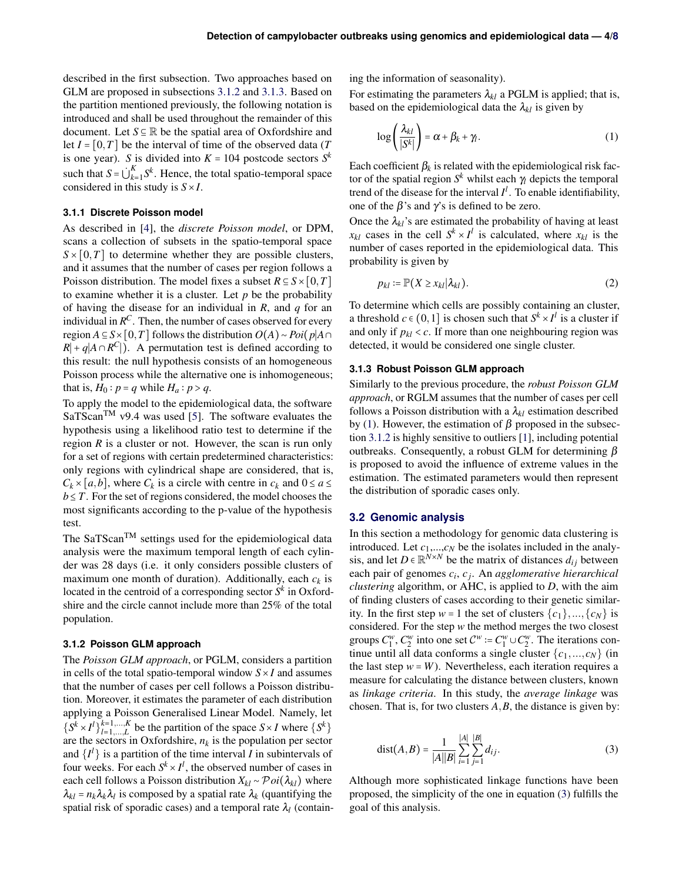described in the first subsection. Two approaches based on GLM are proposed in subsections [3.1.2](#page-3-1) and [3.1.3.](#page-3-2) Based on the partition mentioned previously, the following notation is introduced and shall be used throughout the remainder of this document. Let *S* ⊆ R be the spatial area of Oxfordshire and let  $I = [0, T]$  be the interval of time of the observed data (*T* is one year). *S* is divided into  $K = 104$  postcode sectors  $S^k$ such that  $S = \bigcup_{k=1}^{K} S^k$ . Hence, the total spatio-temporal space considered in this study is *S*×*I*.

#### <span id="page-3-0"></span>**3.1.1 Discrete Poisson model**

As described in [\[4\]](#page-7-3), the *discrete Poisson model*, or DPM, scans a collection of subsets in the spatio-temporal space  $S \times [0,T]$  to determine whether they are possible clusters, and it assumes that the number of cases per region follows a Poisson distribution. The model fixes a subset  $R \subseteq S \times [0, T]$ to examine whether it is a cluster. Let  $p$  be the probability of having the disease for an individual in *R*, and *q* for an individual in  $R^C$ . Then, the number of cases observed for every region *A* ⊆ *S* × [0,*T*] follows the distribution  $O(A) \sim Poi(p|A\cap$  $R$ | + *q*|*A* ∩  $R$ <sup>C</sup>|). A permutation test is defined according to this result: the null hypothesis consists of an homogeneous Poisson process while the alternative one is inhomogeneous; that is,  $H_0: p = q$  while  $H_a: p > q$ .

To apply the model to the epidemiological data, the software  $SaTScan^{TM}$  v9.4 was used [\[5\]](#page-7-4). The software evaluates the hypothesis using a likelihood ratio test to determine if the region *R* is a cluster or not. However, the scan is run only for a set of regions with certain predetermined characteristics: only regions with cylindrical shape are considered, that is,  $C_k \times [a,b]$ , where  $C_k$  is a circle with centre in  $c_k$  and  $0 \le a \le c_k$  $b \leq T$ . For the set of regions considered, the model chooses the most significants according to the p-value of the hypothesis test.

The SaTScan<sup>TM</sup> settings used for the epidemiological data analysis were the maximum temporal length of each cylinder was 28 days (i.e. it only considers possible clusters of maximum one month of duration). Additionally, each  $c_k$  is located in the centroid of a corresponding sector *S k* in Oxfordshire and the circle cannot include more than 25% of the total population.

# <span id="page-3-1"></span>**3.1.2 Poisson GLM approach**

The *Poisson GLM approach*, or PGLM, considers a partition in cells of the total spatio-temporal window  $S \times I$  and assumes that the number of cases per cell follows a Poisson distribution. Moreover, it estimates the parameter of each distribution applying a Poisson Generalised Linear Model. Namely, let  $\{S^k \times I^l\}_{l=1}^{k=1,\dots,K}$  $\{S^{k=1,\dots,K}\}_{l=1,\dots,L}$  be the partition of the space  $S \times I$  where  $\{S^{k}\}$ are the sectors in Oxfordshire,  $n_k$  is the population per sector and  $\{I^l\}$  is a partition of the time interval *I* in subintervals of four weeks. For each  $S^k \times I^l$ , the observed number of cases in each cell follows a Poisson distribution  $X_{kl} \sim \mathcal{P}oi(\lambda_{kl})$  where  $\lambda_{kl} = n_k \lambda_k \lambda_l$  is composed by a spatial rate  $\lambda_k$  (quantifying the spatial risk of sporadic cases) and a temporal rate  $\lambda_l$  (containing the information of seasonality).

For estimating the parameters  $\lambda_{kl}$  a PGLM is applied; that is, based on the epidemiological data the  $\lambda_{kl}$  is given by

<span id="page-3-3"></span>
$$
\log\left(\frac{\lambda_{kl}}{|S^k|}\right) = \alpha + \beta_k + \gamma_l. \tag{1}
$$

Each coefficient  $\beta_k$  is related with the epidemiological risk factor of the spatial region  $S^k$  whilst each  $\gamma_l$  depicts the temporal trend of the disease for the interval  $I^l$ . To enable identifiability, one of the  $\beta$ 's and  $\gamma$ 's is defined to be zero.

Once the  $\lambda_{kl}$ 's are estimated the probability of having at least  $x_{kl}$  cases in the cell  $S^k \times I^l$  is calculated, where  $x_{kl}$  is the number of cases reported in the epidemiological data. This probability is given by

<span id="page-3-5"></span>
$$
p_{kl} := \mathbb{P}(X \ge x_{kl}|\lambda_{kl}). \tag{2}
$$

To determine which cells are possibly containing an cluster, a threshold  $c \in (0,1]$  is chosen such that  $S^k \times I^l$  is a cluster if and only if  $p_{kl}$  <  $c$ . If more than one neighbouring region was detected, it would be considered one single cluster.

#### <span id="page-3-2"></span>**3.1.3 Robust Poisson GLM approach**

Similarly to the previous procedure, the *robust Poisson GLM approach*, or RGLM assumes that the number of cases per cell follows a Poisson distribution with a  $\lambda_{kl}$  estimation described by [\(1\)](#page-3-3). However, the estimation of  $\beta$  proposed in the subsection [3.1.2](#page-3-1) is highly sensitive to outliers [\[1\]](#page-7-11), including potential outbreaks. Consequently, a robust GLM for determining  $β$ is proposed to avoid the influence of extreme values in the estimation. The estimated parameters would then represent the distribution of sporadic cases only.

#### **3.2 Genomic analysis**

In this section a methodology for genomic data clustering is introduced. Let  $c_1$ ,..., $c_N$  be the isolates included in the analysis, and let  $D \in \mathbb{R}^{N \times N}$  be the matrix of distances  $d_{ij}$  between each pair of genomes *c<sup>i</sup>* , *c<sup>j</sup>* . An *agglomerative hierarchical clustering* algorithm, or AHC, is applied to *D*, with the aim of finding clusters of cases according to their genetic similarity. In the first step  $w = 1$  the set of clusters  $\{c_1\}, \ldots, \{c_N\}$  is considered. For the step *w* the method merges the two closest groups  $C_1^w$ ,  $C_2^w$  into one set  $C^w := C_1^w \cup C_2^w$ . The iterations continue until all data conforms a single cluster  $\{c_1, ..., c_N\}$  (in the last step  $w = W$ ). Nevertheless, each iteration requires a measure for calculating the distance between clusters, known as *linkage criteria*. In this study, the *average linkage* was chosen. That is, for two clusters *A*,*B*, the distance is given by:

<span id="page-3-4"></span>
$$
dist(A, B) = \frac{1}{|A||B|} \sum_{i=1}^{|A|} \sum_{j=1}^{|B|} d_{ij}.
$$
 (3)

Although more sophisticated linkage functions have been proposed, the simplicity of the one in equation [\(3\)](#page-3-4) fulfills the goal of this analysis.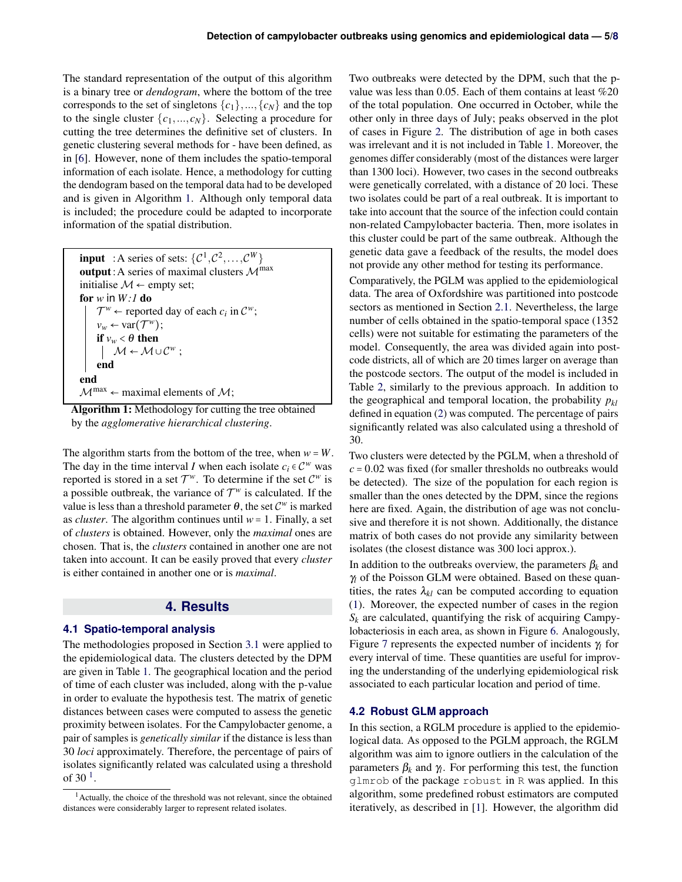The standard representation of the output of this algorithm is a binary tree or *dendogram*, where the bottom of the tree corresponds to the set of singletons  $\{c_1\}, \ldots, \{c_N\}$  and the top to the single cluster  $\{c_1, ..., c_N\}$ . Selecting a procedure for cutting the tree determines the definitive set of clusters. In genetic clustering several methods for - have been defined, as in [\[6\]](#page-7-12). However, none of them includes the spatio-temporal information of each isolate. Hence, a methodology for cutting the dendogram based on the temporal data had to be developed and is given in Algorithm [1.](#page-4-3) Although only temporal data is included; the procedure could be adapted to incorporate information of the spatial distribution.

**input** : A series of sets:  $\{\mathcal{C}^1, \mathcal{C}^2, ..., \mathcal{C}^W\}$ output: A series of maximal clusters  $\mathcal{M}^{\text{max}}$ initialise  $M$  ← empty set; for *w* in *W :1* do  $\mathcal{T}^w$  ← reported day of each  $c_i$  in  $\mathcal{C}^w$ ;  $v_w \leftarrow \text{var}(\mathcal{T}^w);$ if  $v_w < \theta$  then  $M \leftarrow M \cup C^w$ ; end end  $M^{max} \leftarrow$  maximal elements of  $M$ ;

<span id="page-4-3"></span>Algorithm 1: Methodology for cutting the tree obtained by the *agglomerative hierarchical clustering*.

The algorithm starts from the bottom of the tree, when  $w = W$ . The day in the time interval *I* when each isolate  $c_i \in C^w$  was reported is stored in a set  $\mathcal{T}^w$ . To determine if the set  $\mathcal{C}^w$  is a possible outbreak, the variance of  $\mathcal{T}^w$  is calculated. If the value is less than a threshold parameter  $\theta$ , the set  $\mathcal{C}^w$  is marked as *cluster*. The algorithm continues until  $w = 1$ . Finally, a set of *clusters* is obtained. However, only the *maximal* ones are chosen. That is, the *clusters* contained in another one are not taken into account. It can be easily proved that every *cluster* is either contained in another one or is *maximal*.

# **4. Results**

## <span id="page-4-1"></span><span id="page-4-0"></span>**4.1 Spatio-temporal analysis**

The methodologies proposed in Section [3.1](#page-2-2) were applied to the epidemiological data. The clusters detected by the DPM are given in Table [1.](#page-5-1) The geographical location and the period of time of each cluster was included, along with the p-value in order to evaluate the hypothesis test. The matrix of genetic distances between cases were computed to assess the genetic proximity between isolates. For the Campylobacter genome, a pair of samples is *genetically similar* if the distance is less than 30 *loci* approximately. Therefore, the percentage of pairs of isolates significantly related was calculated using a threshold of 30 $^1$  $^1$ .

Two outbreaks were detected by the DPM, such that the pvalue was less than 0.05. Each of them contains at least %20 of the total population. One occurred in October, while the other only in three days of July; peaks observed in the plot of cases in Figure [2.](#page-1-3) The distribution of age in both cases was irrelevant and it is not included in Table [1.](#page-5-1) Moreover, the genomes differ considerably (most of the distances were larger than 1300 loci). However, two cases in the second outbreaks were genetically correlated, with a distance of 20 loci. These two isolates could be part of a real outbreak. It is important to take into account that the source of the infection could contain non-related Campylobacter bacteria. Then, more isolates in this cluster could be part of the same outbreak. Although the genetic data gave a feedback of the results, the model does not provide any other method for testing its performance.

Comparatively, the PGLM was applied to the epidemiological data. The area of Oxfordshire was partitioned into postcode sectors as mentioned in Section [2.1.](#page-1-1) Nevertheless, the large number of cells obtained in the spatio-temporal space (1352 cells) were not suitable for estimating the parameters of the model. Consequently, the area was divided again into postcode districts, all of which are 20 times larger on average than the postcode sectors. The output of the model is included in Table [2,](#page-5-2) similarly to the previous approach. In addition to the geographical and temporal location, the probability *pkl* defined in equation [\(2\)](#page-3-5) was computed. The percentage of pairs significantly related was also calculated using a threshold of 30.

Two clusters were detected by the PGLM, when a threshold of  $c = 0.02$  was fixed (for smaller thresholds no outbreaks would be detected). The size of the population for each region is smaller than the ones detected by the DPM, since the regions here are fixed. Again, the distribution of age was not conclusive and therefore it is not shown. Additionally, the distance matrix of both cases do not provide any similarity between isolates (the closest distance was 300 loci approx.).

In addition to the outbreaks overview, the parameters  $\beta_k$  and γ*<sup>l</sup>* of the Poisson GLM were obtained. Based on these quantities, the rates  $\lambda_{kl}$  can be computed according to equation [\(1\)](#page-3-3). Moreover, the expected number of cases in the region  $S_k$  are calculated, quantifying the risk of acquiring Campylobacteriosis in each area, as shown in Figure [6.](#page-5-3) Analogously, Figure [7](#page-5-4) represents the expected number of incidents γ*<sup>l</sup>* for every interval of time. These quantities are useful for improving the understanding of the underlying epidemiological risk associated to each particular location and period of time.

#### <span id="page-4-2"></span>**4.2 Robust GLM approach**

In this section, a RGLM procedure is applied to the epidemiological data. As opposed to the PGLM approach, the RGLM algorithm was aim to ignore outliers in the calculation of the parameters  $\beta_k$  and  $\gamma_l$ . For performing this test, the function glmrob of the package robust in R was applied. In this algorithm, some predefined robust estimators are computed iteratively, as described in [\[1\]](#page-7-11). However, the algorithm did

<span id="page-4-4"></span><sup>&</sup>lt;sup>1</sup> Actually, the choice of the threshold was not relevant, since the obtained distances were considerably larger to represent related isolates.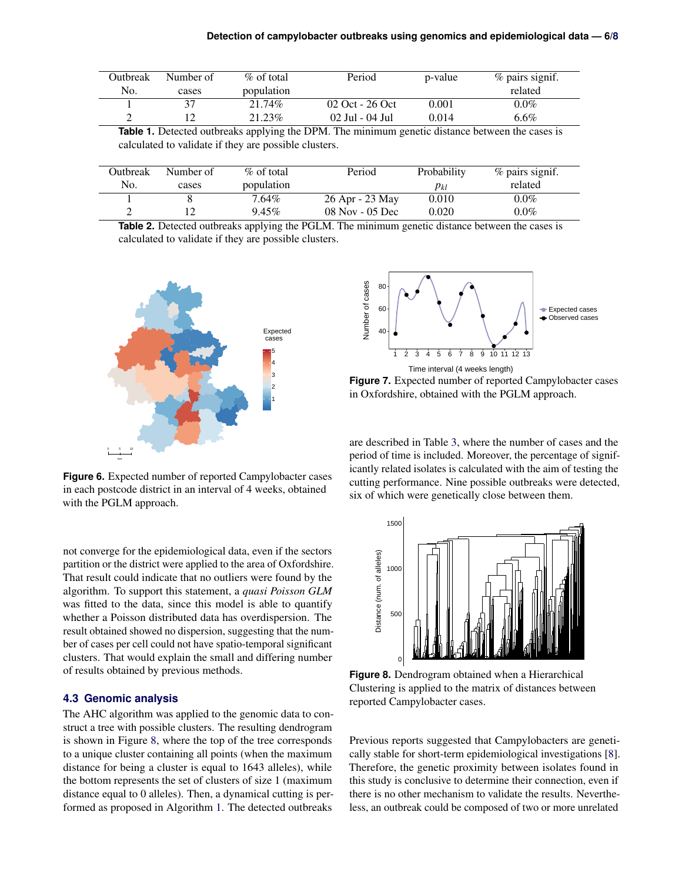<span id="page-5-1"></span>

| Outbreak | Number of | $\%$ of total | Period           | p-value | $\%$ pairs signif. |
|----------|-----------|---------------|------------------|---------|--------------------|
| No.      | cases     | population    |                  |         | related            |
|          |           | 21.74%        | 02 Oct - 26 Oct  | 0.001   | $0.0\%$            |
|          |           | 21.23%        | -02 Jul - 04 Jul | 0.014   | $6.6\%$            |

**Table 1.** Detected outbreaks applying the DPM. The minimum genetic distance between the cases is calculated to validate if they are possible clusters.

<span id="page-5-2"></span>

| Outbreak | Number of | $\%$ of total | Period          | Probability | $%$ pairs signif. |
|----------|-----------|---------------|-----------------|-------------|-------------------|
| No.      | cases     | population    |                 | $p_{kl}$    | related           |
|          |           | 7.64%         | 26 Apr - 23 May | 0.010       | $0.0\%$           |
|          |           | $9.45\%$      | 08 Nov - 05 Dec | 0.020       | $0.0\%$           |

**Table 2.** Detected outbreaks applying the PGLM. The minimum genetic distance between the cases is calculated to validate if they are possible clusters.

<span id="page-5-3"></span>

**Figure 6.** Expected number of reported Campylobacter cases in each postcode district in an interval of 4 weeks, obtained with the PGLM approach.

not converge for the epidemiological data, even if the sectors partition or the district were applied to the area of Oxfordshire. That result could indicate that no outliers were found by the algorithm. To support this statement, a *quasi Poisson GLM* was fitted to the data, since this model is able to quantify whether a Poisson distributed data has overdispersion. The result obtained showed no dispersion, suggesting that the number of cases per cell could not have spatio-temporal significant clusters. That would explain the small and differing number of results obtained by previous methods.

## <span id="page-5-0"></span>**4.3 Genomic analysis**

The AHC algorithm was applied to the genomic data to construct a tree with possible clusters. The resulting dendrogram is shown in Figure [8,](#page-5-5) where the top of the tree corresponds to a unique cluster containing all points (when the maximum distance for being a cluster is equal to 1643 alleles), while the bottom represents the set of clusters of size 1 (maximum distance equal to 0 alleles). Then, a dynamical cutting is performed as proposed in Algorithm [1.](#page-4-3) The detected outbreaks

<span id="page-5-4"></span>

Time interval (4 weeks length) **Figure 7.** Expected number of reported Campylobacter cases

in Oxfordshire, obtained with the PGLM approach.

are described in Table [3,](#page-6-1) where the number of cases and the period of time is included. Moreover, the percentage of significantly related isolates is calculated with the aim of testing the cutting performance. Nine possible outbreaks were detected, six of which were genetically close between them.

<span id="page-5-5"></span>

**Figure 8.** Dendrogram obtained when a Hierarchical Clustering is applied to the matrix of distances between reported Campylobacter cases.

Previous reports suggested that Campylobacters are genetically stable for short-term epidemiological investigations [\[8\]](#page-7-13). Therefore, the genetic proximity between isolates found in this study is conclusive to determine their connection, even if there is no other mechanism to validate the results. Nevertheless, an outbreak could be composed of two or more unrelated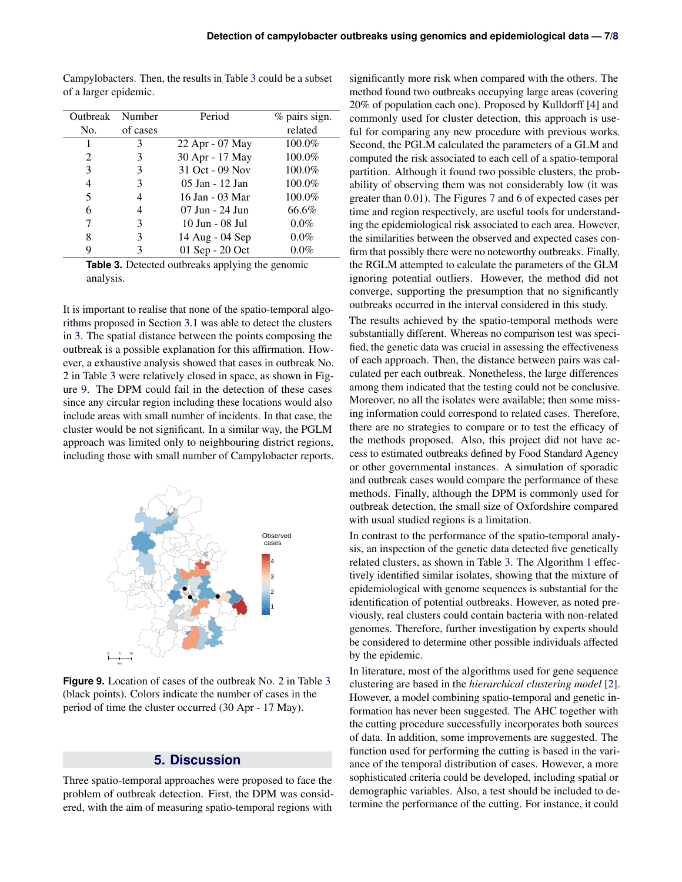Campylobacters. Then, the results in Table [3](#page-6-1) could be a subset of a larger epidemic.

<span id="page-6-1"></span>

| Outbreak Number |          | Period          | $%$ pairs sign. |
|-----------------|----------|-----------------|-----------------|
| No.             | of cases |                 | related         |
|                 | 3        | 22 Apr - 07 May | 100.0%          |
| 2               |          | 30 Apr - 17 May | 100.0%          |
| 3               | 3        | 31 Oct - 09 Nov | 100.0%          |
| $\overline{4}$  | 3        | 05 Jan - 12 Jan | 100.0%          |
| 5               |          | 16 Jan - 03 Mar | 100.0%          |
| 6               |          | 07 Jun - 24 Jun | 66.6%           |
| 7               | 3        | 10 Jun - 08 Jul | $0.0\%$         |
| 8               | 3        | 14 Aug - 04 Sep | $0.0\%$         |
|                 |          | 01 Sep - 20 Oct | $0.0\%$         |
|                 |          |                 |                 |

**Table 3.** Detected outbreaks applying the genomic analysis.

It is important to realise that none of the spatio-temporal algorithms proposed in Section [3.1](#page-2-2) was able to detect the clusters in [3.](#page-6-1) The spatial distance between the points composing the outbreak is a possible explanation for this affirmation. However, a exhaustive analysis showed that cases in outbreak No. 2 in Table [3](#page-6-1) were relatively closed in space, as shown in Figure [9.](#page-6-2) The DPM could fail in the detection of these cases since any circular region including these locations would also include areas with small number of incidents. In that case, the cluster would be not significant. In a similar way, the PGLM approach was limited only to neighbouring district regions, including those with small number of Campylobacter reports.

<span id="page-6-2"></span>

**Figure 9.** Location of cases of the outbreak No. 2 in Table [3](#page-6-1) (black points). Colors indicate the number of cases in the period of time the cluster occurred (30 Apr - 17 May).

# **5. Discussion**

<span id="page-6-0"></span>Three spatio-temporal approaches were proposed to face the problem of outbreak detection. First, the DPM was considered, with the aim of measuring spatio-temporal regions with

significantly more risk when compared with the others. The method found two outbreaks occupying large areas (covering 20% of population each one). Proposed by Kulldorff [\[4\]](#page-7-3) and commonly used for cluster detection, this approach is useful for comparing any new procedure with previous works. Second, the PGLM calculated the parameters of a GLM and computed the risk associated to each cell of a spatio-temporal partition. Although it found two possible clusters, the probability of observing them was not considerably low (it was greater than 0.01). The Figures [7](#page-5-4) and [6](#page-5-3) of expected cases per time and region respectively, are useful tools for understanding the epidemiological risk associated to each area. However, the similarities between the observed and expected cases confirm that possibly there were no noteworthy outbreaks. Finally, the RGLM attempted to calculate the parameters of the GLM ignoring potential outliers. However, the method did not converge, supporting the presumption that no significantly outbreaks occurred in the interval considered in this study.

The results achieved by the spatio-temporal methods were substantially different. Whereas no comparison test was specified, the genetic data was crucial in assessing the effectiveness of each approach. Then, the distance between pairs was calculated per each outbreak. Nonetheless, the large differences among them indicated that the testing could not be conclusive. Moreover, no all the isolates were available; then some missing information could correspond to related cases. Therefore, there are no strategies to compare or to test the efficacy of the methods proposed. Also, this project did not have access to estimated outbreaks defined by Food Standard Agency or other governmental instances. A simulation of sporadic and outbreak cases would compare the performance of these methods. Finally, although the DPM is commonly used for outbreak detection, the small size of Oxfordshire compared with usual studied regions is a limitation.

In contrast to the performance of the spatio-temporal analysis, an inspection of the genetic data detected five genetically related clusters, as shown in Table [3.](#page-6-1) The Algorithm [1](#page-4-3) effectively identified similar isolates, showing that the mixture of epidemiological with genome sequences is substantial for the identification of potential outbreaks. However, as noted previously, real clusters could contain bacteria with non-related genomes. Therefore, further investigation by experts should be considered to determine other possible individuals affected by the epidemic.

In literature, most of the algorithms used for gene sequence clustering are based in the *hierarchical clustering model* [\[2\]](#page-7-14). However, a model combining spatio-temporal and genetic information has never been suggested. The AHC together with the cutting procedure successfully incorporates both sources of data. In addition, some improvements are suggested. The function used for performing the cutting is based in the variance of the temporal distribution of cases. However, a more sophisticated criteria could be developed, including spatial or demographic variables. Also, a test should be included to determine the performance of the cutting. For instance, it could